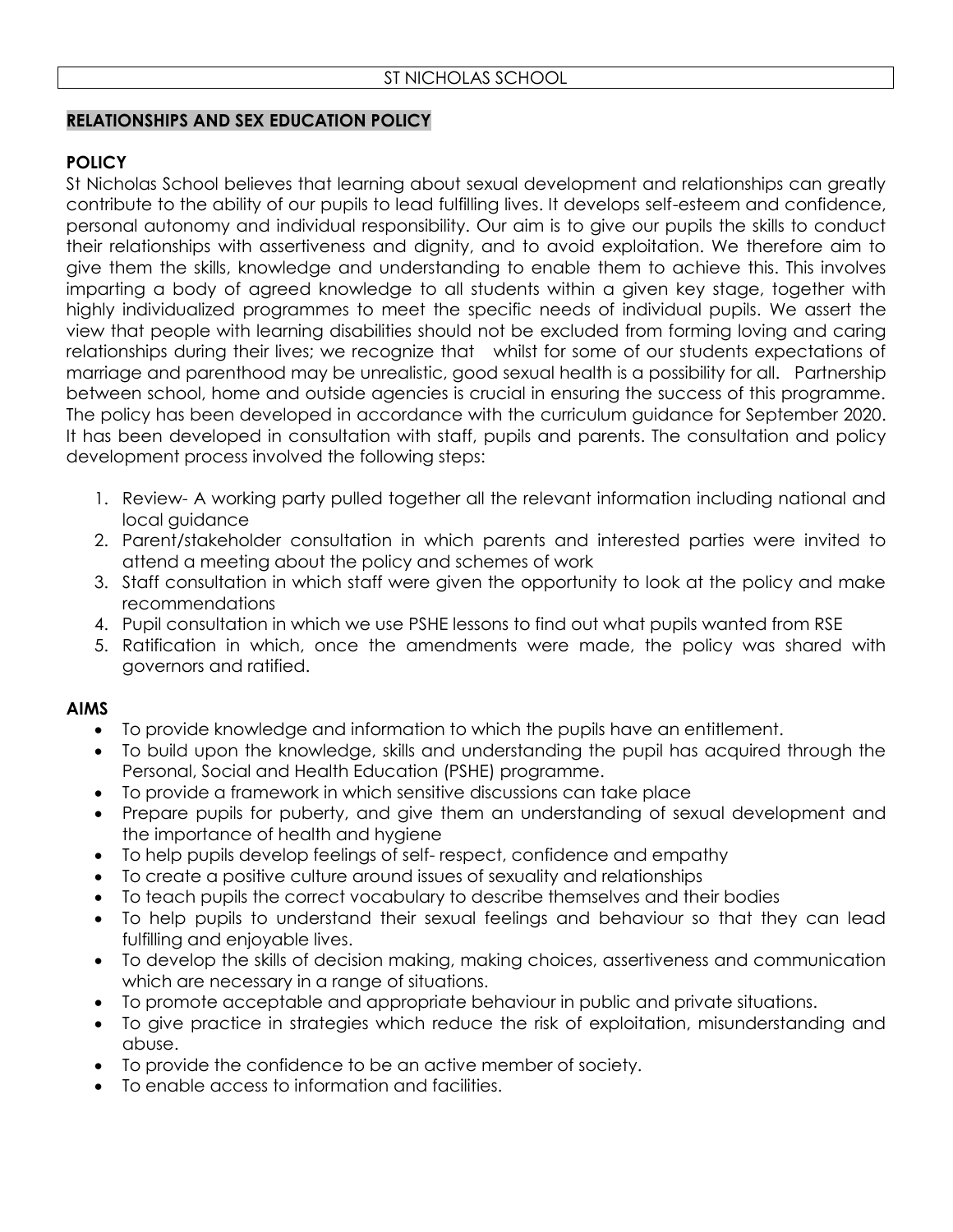# **RELATIONSHIPS AND SEX EDUCATION POLICY**

# **POLICY**

St Nicholas School believes that learning about sexual development and relationships can greatly contribute to the ability of our pupils to lead fulfilling lives. It develops self-esteem and confidence, personal autonomy and individual responsibility. Our aim is to give our pupils the skills to conduct their relationships with assertiveness and dignity, and to avoid exploitation. We therefore aim to give them the skills, knowledge and understanding to enable them to achieve this. This involves imparting a body of agreed knowledge to all students within a given key stage, together with highly individualized programmes to meet the specific needs of individual pupils. We assert the view that people with learning disabilities should not be excluded from forming loving and caring relationships during their lives; we recognize that whilst for some of our students expectations of marriage and parenthood may be unrealistic, good sexual health is a possibility for all. Partnership between school, home and outside agencies is crucial in ensuring the success of this programme. The policy has been developed in accordance with the curriculum guidance for September 2020. It has been developed in consultation with staff, pupils and parents. The consultation and policy development process involved the following steps:

- 1. Review- A working party pulled together all the relevant information including national and local guidance
- 2. Parent/stakeholder consultation in which parents and interested parties were invited to attend a meeting about the policy and schemes of work
- 3. Staff consultation in which staff were given the opportunity to look at the policy and make recommendations
- 4. Pupil consultation in which we use PSHE lessons to find out what pupils wanted from RSE
- 5. Ratification in which, once the amendments were made, the policy was shared with governors and ratified.

# **AIMS**

- To provide knowledge and information to which the pupils have an entitlement.
- To build upon the knowledge, skills and understanding the pupil has acquired through the Personal, Social and Health Education (PSHE) programme.
- To provide a framework in which sensitive discussions can take place
- Prepare pupils for puberty, and give them an understanding of sexual development and the importance of health and hygiene
- To help pupils develop feelings of self- respect, confidence and empathy
- To create a positive culture around issues of sexuality and relationships
- To teach pupils the correct vocabulary to describe themselves and their bodies
- To help pupils to understand their sexual feelings and behaviour so that they can lead fulfilling and enjoyable lives.
- To develop the skills of decision making, making choices, assertiveness and communication which are necessary in a range of situations.
- To promote acceptable and appropriate behaviour in public and private situations.
- To give practice in strategies which reduce the risk of exploitation, misunderstanding and abuse.
- To provide the confidence to be an active member of society.
- To enable access to information and facilities.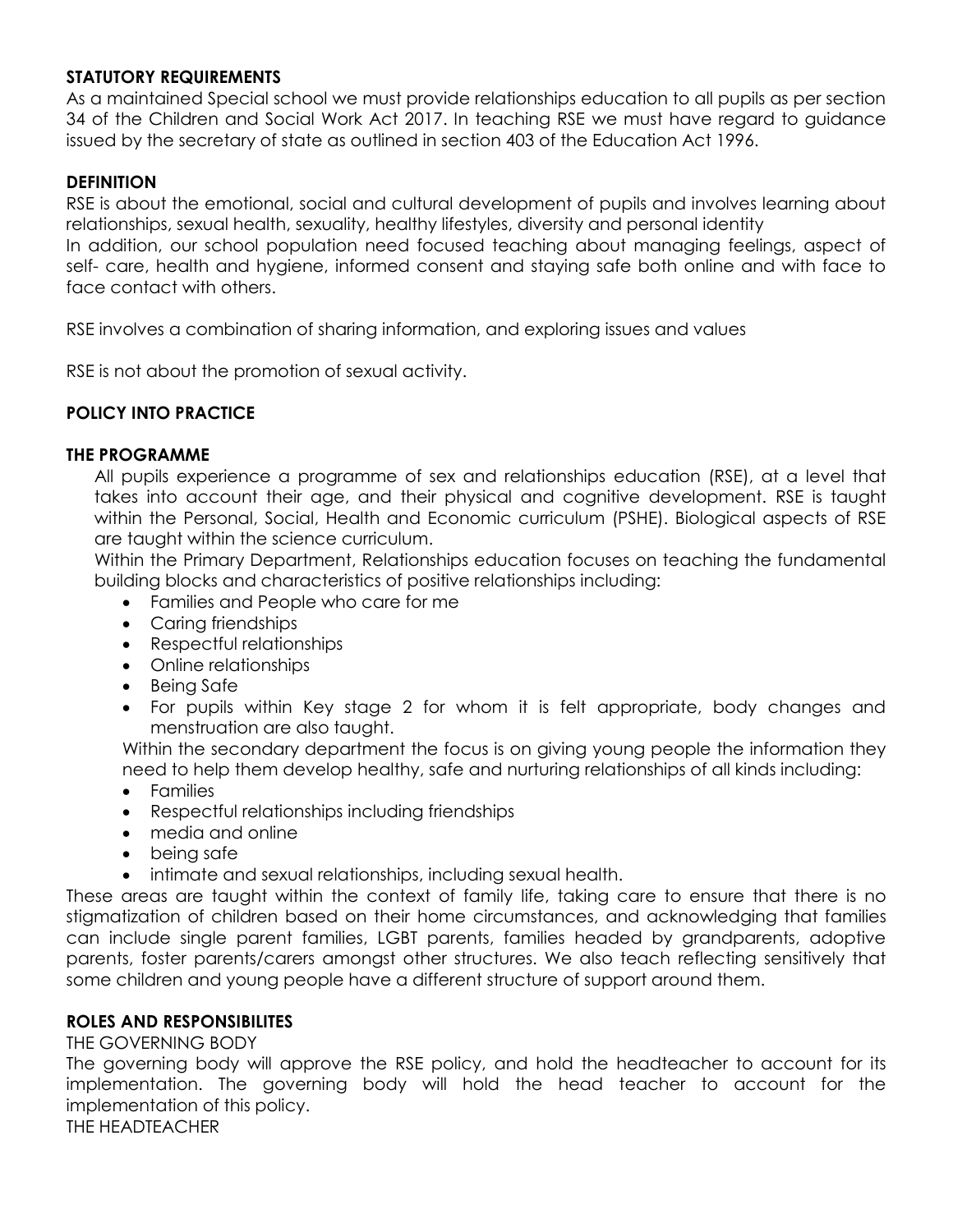#### **STATUTORY REQUIREMENTS**

As a maintained Special school we must provide relationships education to all pupils as per section 34 of the Children and Social Work Act 2017. In teaching RSE we must have regard to guidance issued by the secretary of state as outlined in section 403 of the Education Act 1996.

#### **DEFINITION**

RSE is about the emotional, social and cultural development of pupils and involves learning about relationships, sexual health, sexuality, healthy lifestyles, diversity and personal identity

In addition, our school population need focused teaching about managing feelings, aspect of self- care, health and hygiene, informed consent and staying safe both online and with face to face contact with others.

RSE involves a combination of sharing information, and exploring issues and values

RSE is not about the promotion of sexual activity.

# **POLICY INTO PRACTICE**

#### **THE PROGRAMME**

All pupils experience a programme of sex and relationships education (RSE), at a level that takes into account their age, and their physical and cognitive development. RSE is taught within the Personal, Social, Health and Economic curriculum (PSHE). Biological aspects of RSE are taught within the science curriculum.

Within the Primary Department, Relationships education focuses on teaching the fundamental building blocks and characteristics of positive relationships including:

- Families and People who care for me
- Caring friendships
- Respectful relationships
- Online relationships
- Being Safe
- For pupils within Key stage 2 for whom it is felt appropriate, body changes and menstruation are also taught.

Within the secondary department the focus is on giving young people the information they need to help them develop healthy, safe and nurturing relationships of all kinds including:

- Families
- Respectful relationships including friendships
- media and online
- being safe
- intimate and sexual relationships, including sexual health.

These areas are taught within the context of family life, taking care to ensure that there is no stigmatization of children based on their home circumstances, and acknowledging that families can include single parent families, LGBT parents, families headed by grandparents, adoptive parents, foster parents/carers amongst other structures. We also teach reflecting sensitively that some children and young people have a different structure of support around them.

#### **ROLES AND RESPONSIBILITES**

THE GOVERNING BODY

The governing body will approve the RSE policy, and hold the headteacher to account for its implementation. The governing body will hold the head teacher to account for the implementation of this policy. THE HEADTEACHER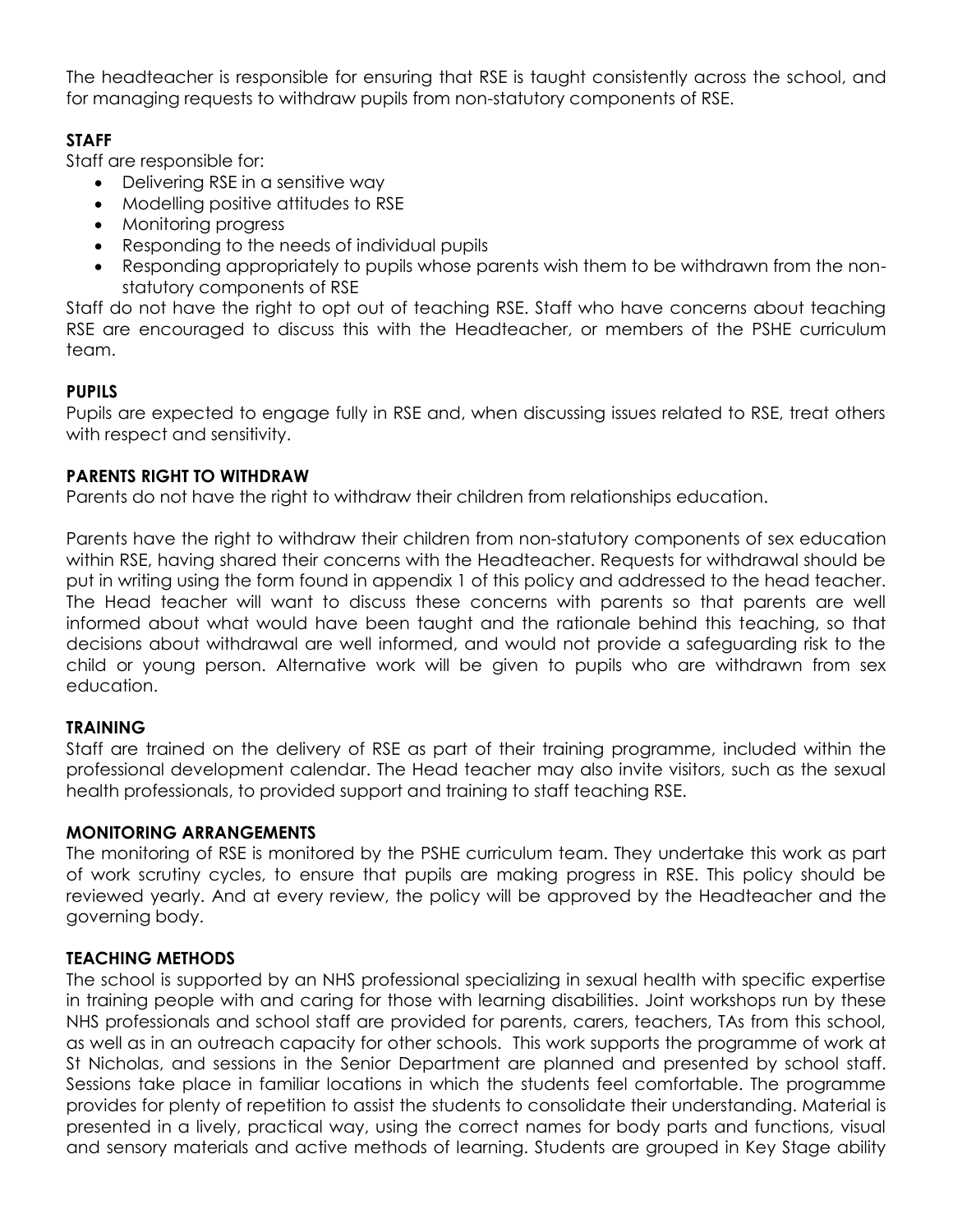The headteacher is responsible for ensuring that RSE is taught consistently across the school, and for managing requests to withdraw pupils from non-statutory components of RSE.

# **STAFF**

Staff are responsible for:

- Delivering RSE in a sensitive way
- Modelling positive attitudes to RSE
- Monitoring progress
- Responding to the needs of individual pupils
- Responding appropriately to pupils whose parents wish them to be withdrawn from the nonstatutory components of RSE

Staff do not have the right to opt out of teaching RSE. Staff who have concerns about teaching RSE are encouraged to discuss this with the Headteacher, or members of the PSHE curriculum team.

# **PUPILS**

Pupils are expected to engage fully in RSE and, when discussing issues related to RSE, treat others with respect and sensitivity.

# **PARENTS RIGHT TO WITHDRAW**

Parents do not have the right to withdraw their children from relationships education.

Parents have the right to withdraw their children from non-statutory components of sex education within RSE, having shared their concerns with the Headteacher. Requests for withdrawal should be put in writing using the form found in appendix 1 of this policy and addressed to the head teacher. The Head teacher will want to discuss these concerns with parents so that parents are well informed about what would have been taught and the rationale behind this teaching, so that decisions about withdrawal are well informed, and would not provide a safeguarding risk to the child or young person. Alternative work will be given to pupils who are withdrawn from sex education.

# **TRAINING**

Staff are trained on the delivery of RSE as part of their training programme, included within the professional development calendar. The Head teacher may also invite visitors, such as the sexual health professionals, to provided support and training to staff teaching RSE.

#### **MONITORING ARRANGEMENTS**

The monitoring of RSE is monitored by the PSHE curriculum team. They undertake this work as part of work scrutiny cycles, to ensure that pupils are making progress in RSE. This policy should be reviewed yearly. And at every review, the policy will be approved by the Headteacher and the governing body.

# **TEACHING METHODS**

The school is supported by an NHS professional specializing in sexual health with specific expertise in training people with and caring for those with learning disabilities. Joint workshops run by these NHS professionals and school staff are provided for parents, carers, teachers, TAs from this school, as well as in an outreach capacity for other schools. This work supports the programme of work at St Nicholas, and sessions in the Senior Department are planned and presented by school staff. Sessions take place in familiar locations in which the students feel comfortable. The programme provides for plenty of repetition to assist the students to consolidate their understanding. Material is presented in a lively, practical way, using the correct names for body parts and functions, visual and sensory materials and active methods of learning. Students are grouped in Key Stage ability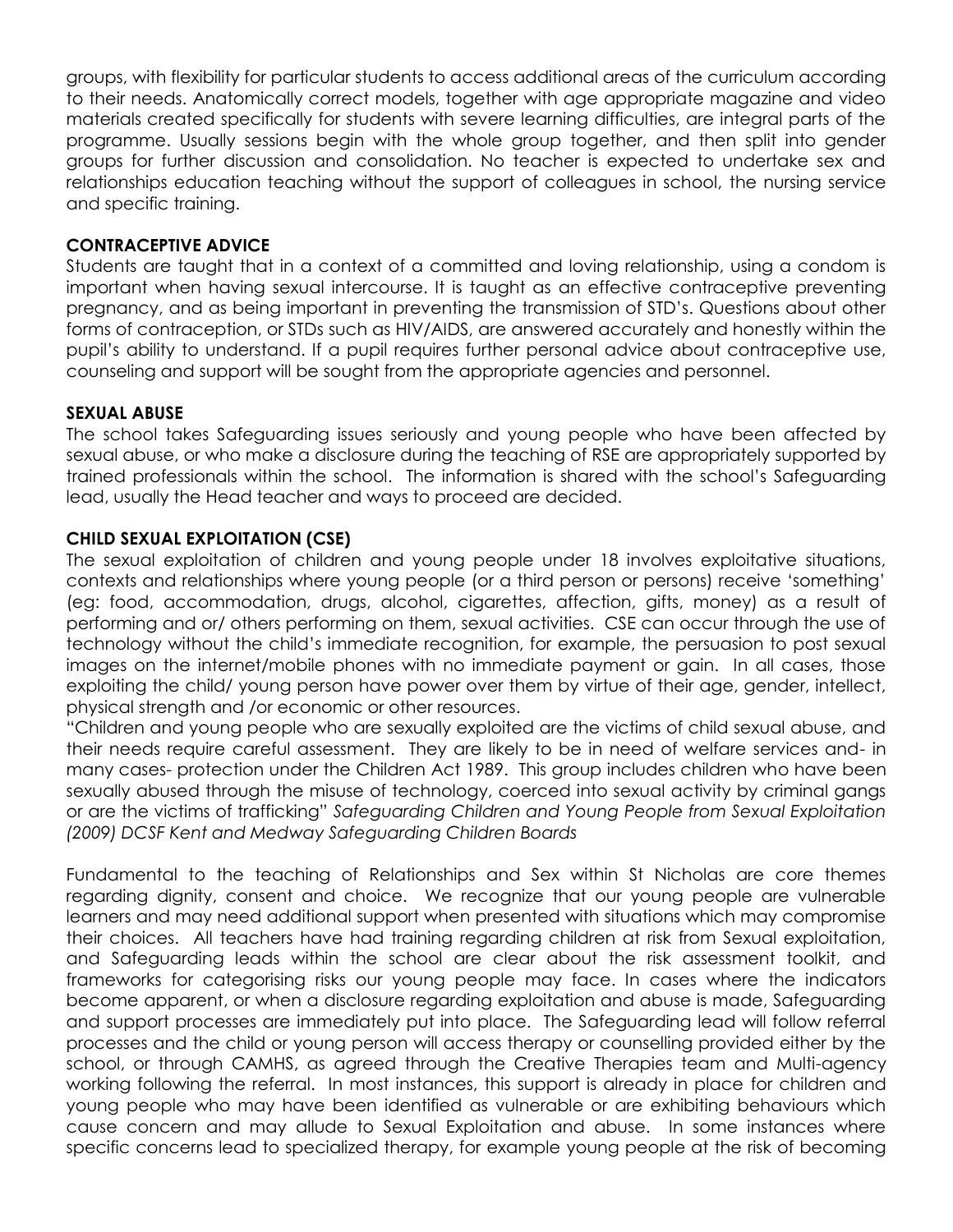groups, with flexibility for particular students to access additional areas of the curriculum according to their needs. Anatomically correct models, together with age appropriate magazine and video materials created specifically for students with severe learning difficulties, are integral parts of the programme. Usually sessions begin with the whole group together, and then split into gender groups for further discussion and consolidation. No teacher is expected to undertake sex and relationships education teaching without the support of colleagues in school, the nursing service and specific training.

#### **CONTRACEPTIVE ADVICE**

Students are taught that in a context of a committed and loving relationship, using a condom is important when having sexual intercourse. It is taught as an effective contraceptive preventing pregnancy, and as being important in preventing the transmission of STD's. Questions about other forms of contraception, or STDs such as HIV/AIDS, are answered accurately and honestly within the pupil's ability to understand. If a pupil requires further personal advice about contraceptive use, counseling and support will be sought from the appropriate agencies and personnel.

#### **SEXUAL ABUSE**

The school takes Safeguarding issues seriously and young people who have been affected by sexual abuse, or who make a disclosure during the teaching of RSE are appropriately supported by trained professionals within the school. The information is shared with the school's Safeguarding lead, usually the Head teacher and ways to proceed are decided.

#### **CHILD SEXUAL EXPLOITATION (CSE)**

The sexual exploitation of children and young people under 18 involves exploitative situations, contexts and relationships where young people (or a third person or persons) receive 'something' (eg: food, accommodation, drugs, alcohol, cigarettes, affection, gifts, money) as a result of performing and or/ others performing on them, sexual activities. CSE can occur through the use of technology without the child's immediate recognition, for example, the persuasion to post sexual images on the internet/mobile phones with no immediate payment or gain. In all cases, those exploiting the child/ young person have power over them by virtue of their age, gender, intellect, physical strength and /or economic or other resources.

"Children and young people who are sexually exploited are the victims of child sexual abuse, and their needs require careful assessment. They are likely to be in need of welfare services and- in many cases- protection under the Children Act 1989. This group includes children who have been sexually abused through the misuse of technology, coerced into sexual activity by criminal gangs or are the victims of trafficking" *Safeguarding Children and Young People from Sexual Exploitation (2009) DCSF Kent and Medway Safeguarding Children Boards*

Fundamental to the teaching of Relationships and Sex within St Nicholas are core themes regarding dignity, consent and choice. We recognize that our young people are vulnerable learners and may need additional support when presented with situations which may compromise their choices. All teachers have had training regarding children at risk from Sexual exploitation, and Safeguarding leads within the school are clear about the risk assessment toolkit, and frameworks for categorising risks our young people may face. In cases where the indicators become apparent, or when a disclosure regarding exploitation and abuse is made, Safeguarding and support processes are immediately put into place. The Safeguarding lead will follow referral processes and the child or young person will access therapy or counselling provided either by the school, or through CAMHS, as agreed through the Creative Therapies team and Multi-agency working following the referral. In most instances, this support is already in place for children and young people who may have been identified as vulnerable or are exhibiting behaviours which cause concern and may allude to Sexual Exploitation and abuse. In some instances where specific concerns lead to specialized therapy, for example young people at the risk of becoming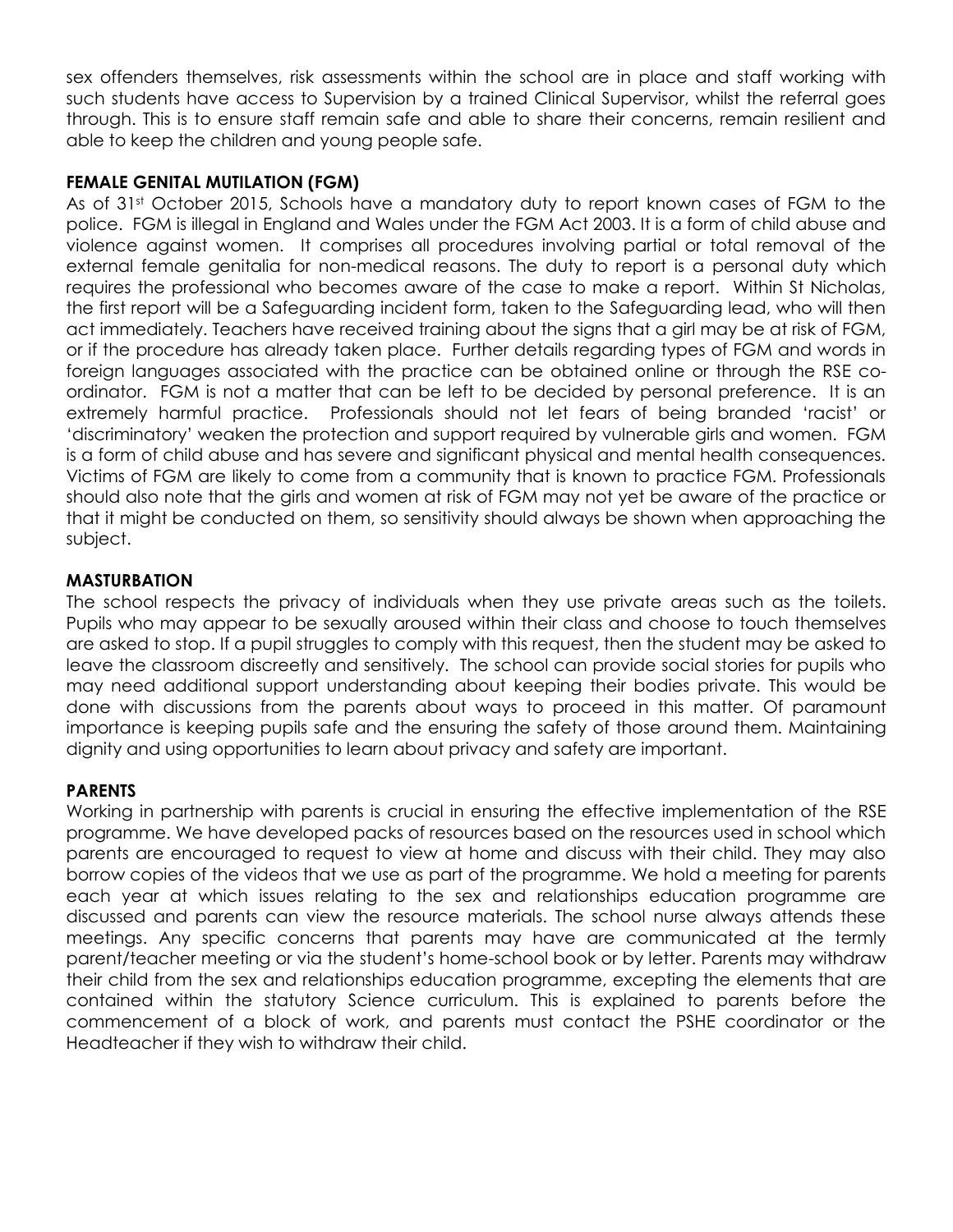sex offenders themselves, risk assessments within the school are in place and staff working with such students have access to Supervision by a trained Clinical Supervisor, whilst the referral goes through. This is to ensure staff remain safe and able to share their concerns, remain resilient and able to keep the children and young people safe.

### **FEMALE GENITAL MUTILATION (FGM)**

As of 31st October 2015, Schools have a mandatory duty to report known cases of FGM to the police. FGM is illegal in England and Wales under the FGM Act 2003. It is a form of child abuse and violence against women. It comprises all procedures involving partial or total removal of the external female genitalia for non-medical reasons. The duty to report is a personal duty which requires the professional who becomes aware of the case to make a report. Within St Nicholas, the first report will be a Safeguarding incident form, taken to the Safeguarding lead, who will then act immediately. Teachers have received training about the signs that a girl may be at risk of FGM, or if the procedure has already taken place. Further details regarding types of FGM and words in foreign languages associated with the practice can be obtained online or through the RSE coordinator. FGM is not a matter that can be left to be decided by personal preference. It is an extremely harmful practice. Professionals should not let fears of being branded 'racist' or 'discriminatory' weaken the protection and support required by vulnerable girls and women. FGM is a form of child abuse and has severe and significant physical and mental health consequences. Victims of FGM are likely to come from a community that is known to practice FGM. Professionals should also note that the girls and women at risk of FGM may not yet be aware of the practice or that it might be conducted on them, so sensitivity should always be shown when approaching the subject.

# **MASTURBATION**

The school respects the privacy of individuals when they use private areas such as the toilets. Pupils who may appear to be sexually aroused within their class and choose to touch themselves are asked to stop. If a pupil struggles to comply with this request, then the student may be asked to leave the classroom discreetly and sensitively. The school can provide social stories for pupils who may need additional support understanding about keeping their bodies private. This would be done with discussions from the parents about ways to proceed in this matter. Of paramount importance is keeping pupils safe and the ensuring the safety of those around them. Maintaining dignity and using opportunities to learn about privacy and safety are important.

# **PARENTS**

Working in partnership with parents is crucial in ensuring the effective implementation of the RSE programme. We have developed packs of resources based on the resources used in school which parents are encouraged to request to view at home and discuss with their child. They may also borrow copies of the videos that we use as part of the programme. We hold a meeting for parents each year at which issues relating to the sex and relationships education programme are discussed and parents can view the resource materials. The school nurse always attends these meetings. Any specific concerns that parents may have are communicated at the termly parent/teacher meeting or via the student's home-school book or by letter. Parents may withdraw their child from the sex and relationships education programme, excepting the elements that are contained within the statutory Science curriculum. This is explained to parents before the commencement of a block of work, and parents must contact the PSHE coordinator or the Headteacher if they wish to withdraw their child.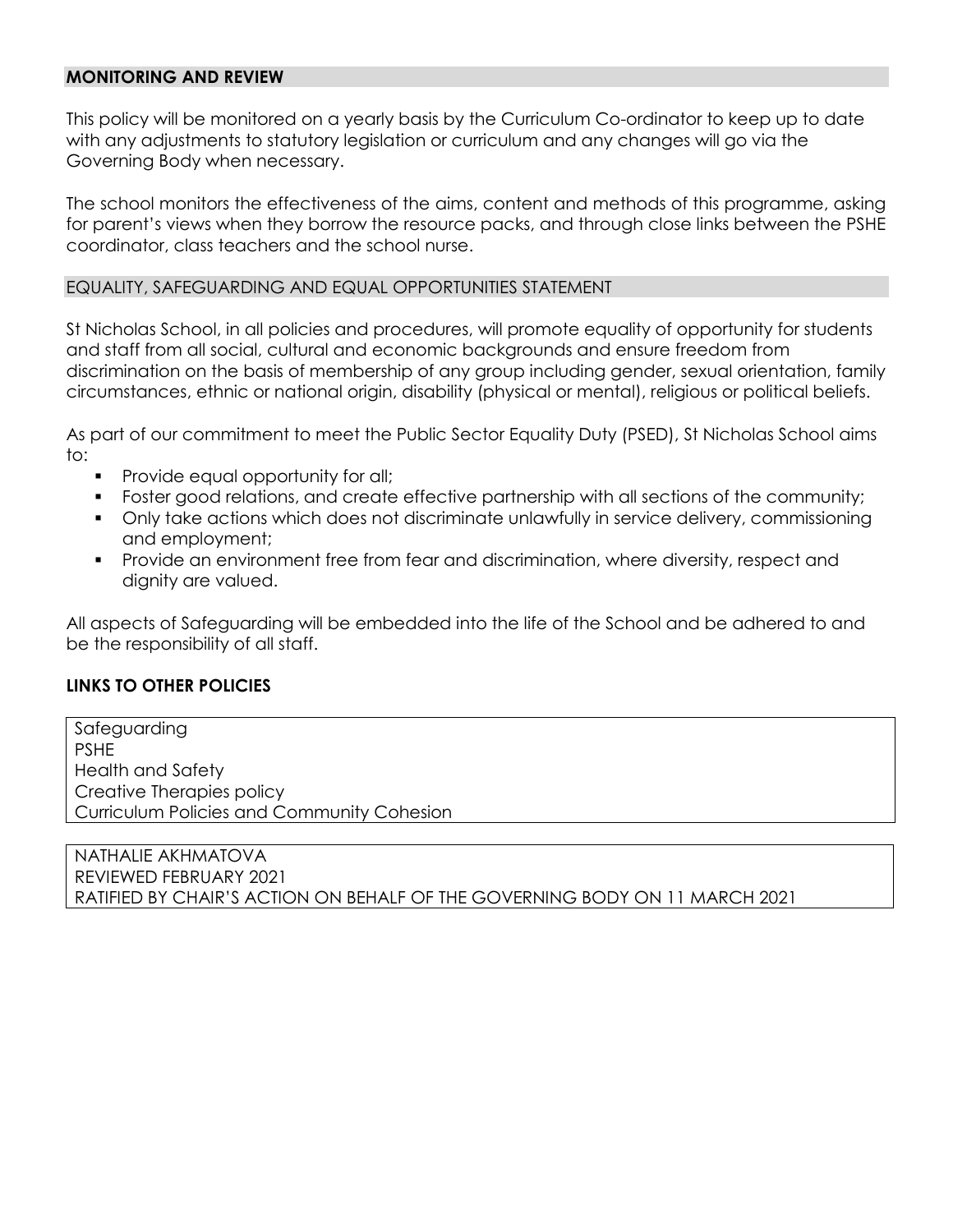#### **MONITORING AND REVIEW**

This policy will be monitored on a yearly basis by the Curriculum Co-ordinator to keep up to date with any adjustments to statutory legislation or curriculum and any changes will go via the Governing Body when necessary.

The school monitors the effectiveness of the aims, content and methods of this programme, asking for parent's views when they borrow the resource packs, and through close links between the PSHE coordinator, class teachers and the school nurse.

#### EQUALITY, SAFEGUARDING AND EQUAL OPPORTUNITIES STATEMENT

St Nicholas School, in all policies and procedures, will promote equality of opportunity for students and staff from all social, cultural and economic backgrounds and ensure freedom from discrimination on the basis of membership of any group including gender, sexual orientation, family circumstances, ethnic or national origin, disability (physical or mental), religious or political beliefs.

As part of our commitment to meet the Public Sector Equality Duty (PSED), St Nicholas School aims to:

- **Provide equal opportunity for all;**
- **Foster good relations, and create effective partnership with all sections of the community;**
- Only take actions which does not discriminate unlawfully in service delivery, commissioning and employment;
- Provide an environment free from fear and discrimination, where diversity, respect and dignity are valued.

All aspects of Safeguarding will be embedded into the life of the School and be adhered to and be the responsibility of all staff.

#### **LINKS TO OTHER POLICIES**

Safeguarding PSHE Health and Safety Creative Therapies policy Curriculum Policies and Community Cohesion

NATHALIE AKHMATOVA REVIEWED FEBRUARY 2021 RATIFIED BY CHAIR'S ACTION ON BEHALF OF THE GOVERNING BODY ON 11 MARCH 2021